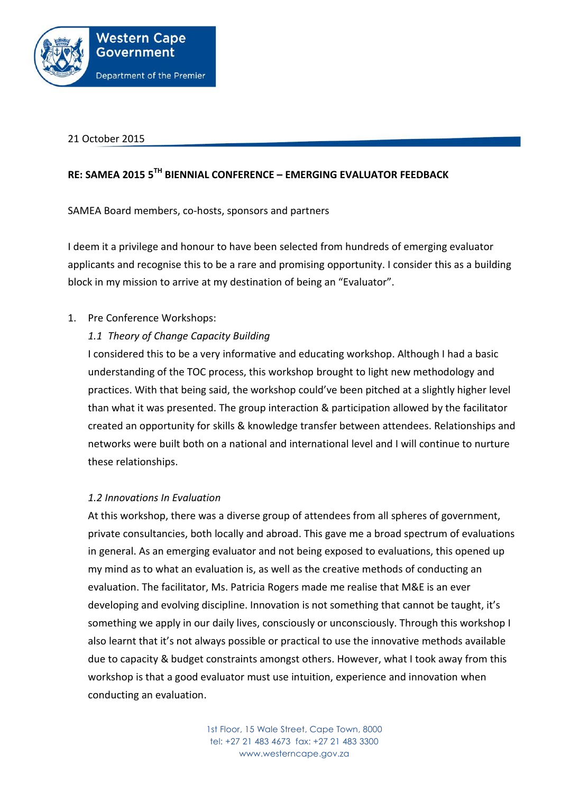

21 October 2015

# **RE: SAMEA 2015 5TH BIENNIAL CONFERENCE – EMERGING EVALUATOR FEEDBACK**

SAMEA Board members, co-hosts, sponsors and partners

I deem it a privilege and honour to have been selected from hundreds of emerging evaluator applicants and recognise this to be a rare and promising opportunity. I consider this as a building block in my mission to arrive at my destination of being an "Evaluator".

### 1. Pre Conference Workshops:

## *1.1 Theory of Change Capacity Building*

I considered this to be a very informative and educating workshop. Although I had a basic understanding of the TOC process, this workshop brought to light new methodology and practices. With that being said, the workshop could've been pitched at a slightly higher level than what it was presented. The group interaction & participation allowed by the facilitator created an opportunity for skills & knowledge transfer between attendees. Relationships and networks were built both on a national and international level and I will continue to nurture these relationships.

### *1.2 Innovations In Evaluation*

At this workshop, there was a diverse group of attendees from all spheres of government, private consultancies, both locally and abroad. This gave me a broad spectrum of evaluations in general. As an emerging evaluator and not being exposed to evaluations, this opened up my mind as to what an evaluation is, as well as the creative methods of conducting an evaluation. The facilitator, Ms. Patricia Rogers made me realise that M&E is an ever developing and evolving discipline. Innovation is not something that cannot be taught, it's something we apply in our daily lives, consciously or unconsciously. Through this workshop I also learnt that it's not always possible or practical to use the innovative methods available due to capacity & budget constraints amongst others. However, what I took away from this workshop is that a good evaluator must use intuition, experience and innovation when conducting an evaluation.

> 1st Floor, 15 Wale Street, Cape Town, 8000 tel: +27 21 483 4673 fax: +27 21 483 3300 www.westerncape.gov.za